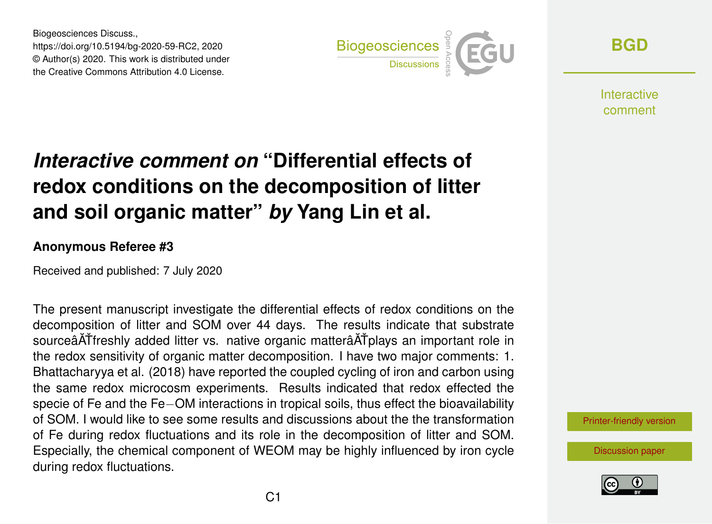Biogeosciences Discuss., https://doi.org/10.5194/bg-2020-59-RC2, 2020 © Author(s) 2020. This work is distributed under the Creative Commons Attribution 4.0 License.



**[BGD](https://www.biogeosciences-discuss.net/)**

Interactive comment

## *Interactive comment on* **"Differential effects of redox conditions on the decomposition of litter and soil organic matter"** *by* **Yang Lin et al.**

## **Anonymous Referee #3**

Received and published: 7 July 2020

The present manuscript investigate the differential effects of redox conditions on the decomposition of litter and SOM over 44 days. The results indicate that substrate sourceâATfreshly added litter vs. native organic matterâATplays an important role in the redox sensitivity of organic matter decomposition. I have two major comments: 1. Bhattacharyya et al. (2018) have reported the coupled cycling of iron and carbon using the same redox microcosm experiments. Results indicated that redox effected the specie of Fe and the Fe–OM interactions in tropical soils, thus effect the bioavailability of SOM. I would like to see some results and discussions about the the transformation of Fe during redox fluctuations and its role in the decomposition of litter and SOM. Especially, the chemical component of WEOM may be highly influenced by iron cycle during redox fluctuations.

[Printer-friendly version](https://www.biogeosciences-discuss.net/bg-2020-59/bg-2020-59-RC2-print.pdf)

[Discussion paper](https://www.biogeosciences-discuss.net/bg-2020-59)